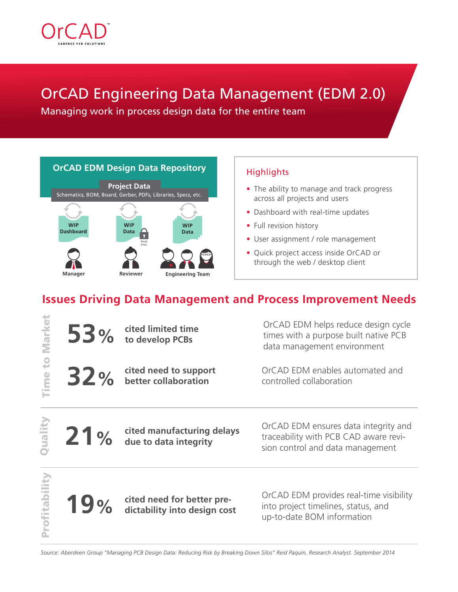

## OrCAD Engineering Data Management (EDM 2.0)

Managing work in process design data for the entire team



#### **Highlights**

- The ability to manage and track progress across all projects and users
- Dashboard with real-time updates
- Full revision history
- User assignment / role management
- Quick project access inside OrCAD or through the web / desktop client

### **Issues Driving Data Management and Process Improvement Needs**

| Market           |     | 53 % cited limited time                                      | OrCAD EDM helps reduce design cycle<br>times with a purpose built native PCB<br>data management environment       |
|------------------|-----|--------------------------------------------------------------|-------------------------------------------------------------------------------------------------------------------|
| ime to           |     | 32 % cited need to support                                   | OrCAD EDM enables automated and<br>controlled collaboration                                                       |
| Quality          |     | 21% cited manufacturing delays<br>also due to data integrity | OrCAD EDM ensures data integrity and<br>traceability with PCB CAD aware revi-<br>sion control and data management |
| <b>rofitabil</b> | 19% | cited need for better pre-<br>dictability into design cost   | OrCAD EDM provides real-time visibility<br>into project timelines, status, and<br>up-to-date BOM information      |

*Source: Aberdeen Group "Managing PCB Design Data: Reducing Risk by Breaking Down Silos" Reid Paquin, Research Analyst. September 2014*